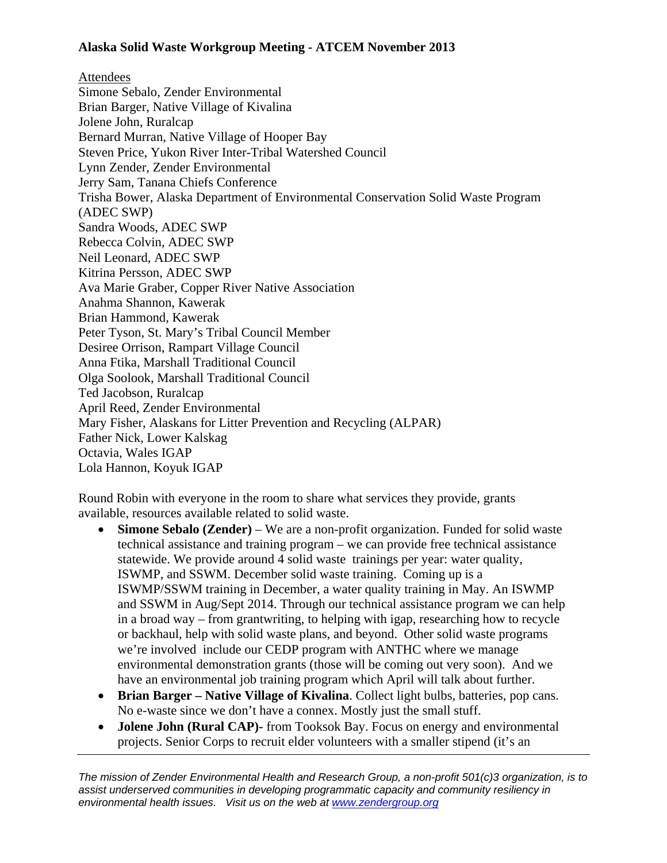## **Alaska Solid Waste Workgroup Meeting - ATCEM November 2013**

Attendees Simone Sebalo, Zender Environmental Brian Barger, Native Village of Kivalina Jolene John, Ruralcap Bernard Murran, Native Village of Hooper Bay Steven Price, Yukon River Inter-Tribal Watershed Council Lynn Zender, Zender Environmental Jerry Sam, Tanana Chiefs Conference Trisha Bower, Alaska Department of Environmental Conservation Solid Waste Program (ADEC SWP) Sandra Woods, ADEC SWP Rebecca Colvin, ADEC SWP Neil Leonard, ADEC SWP Kitrina Persson, ADEC SWP Ava Marie Graber, Copper River Native Association Anahma Shannon, Kawerak Brian Hammond, Kawerak Peter Tyson, St. Mary's Tribal Council Member Desiree Orrison, Rampart Village Council Anna Ftika, Marshall Traditional Council Olga Soolook, Marshall Traditional Council Ted Jacobson, Ruralcap April Reed, Zender Environmental Mary Fisher, Alaskans for Litter Prevention and Recycling (ALPAR) Father Nick, Lower Kalskag Octavia, Wales IGAP Lola Hannon, Koyuk IGAP

Round Robin with everyone in the room to share what services they provide, grants available, resources available related to solid waste.

- **Simone Sebalo (Zender)** We are a non-profit organization. Funded for solid waste technical assistance and training program – we can provide free technical assistance statewide. We provide around 4 solid waste trainings per year: water quality, ISWMP, and SSWM. December solid waste training. Coming up is a ISWMP/SSWM training in December, a water quality training in May. An ISWMP and SSWM in Aug/Sept 2014. Through our technical assistance program we can help in a broad way – from grantwriting, to helping with igap, researching how to recycle or backhaul, help with solid waste plans, and beyond. Other solid waste programs we're involved include our CEDP program with ANTHC where we manage environmental demonstration grants (those will be coming out very soon). And we have an environmental job training program which April will talk about further.
- **Brian Barger Native Village of Kivalina**. Collect light bulbs, batteries, pop cans. No e-waste since we don't have a connex. Mostly just the small stuff.
- **Jolene John (Rural CAP)-** from Tooksok Bay. Focus on energy and environmental projects. Senior Corps to recruit elder volunteers with a smaller stipend (it's an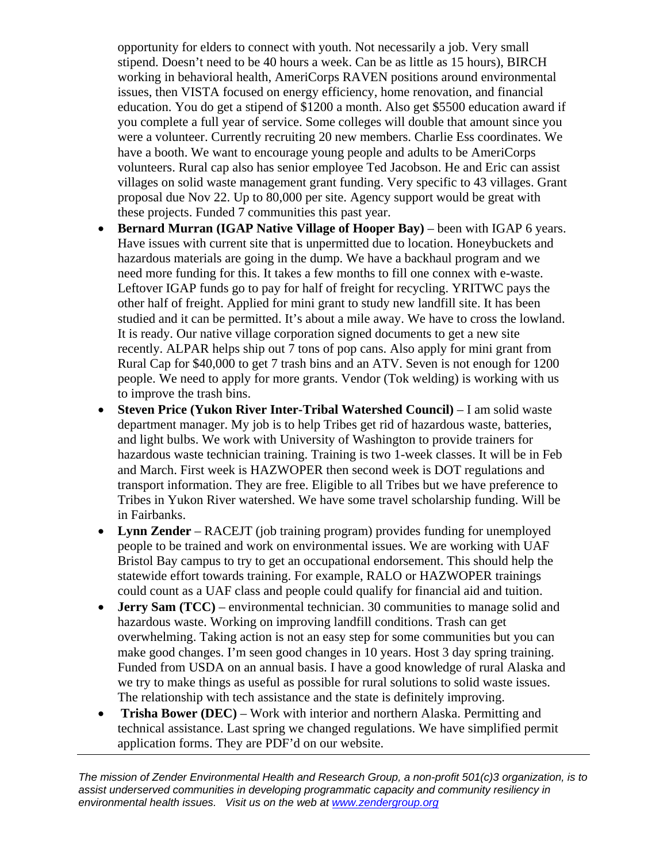opportunity for elders to connect with youth. Not necessarily a job. Very small stipend. Doesn't need to be 40 hours a week. Can be as little as 15 hours), BIRCH working in behavioral health, AmeriCorps RAVEN positions around environmental issues, then VISTA focused on energy efficiency, home renovation, and financial education. You do get a stipend of \$1200 a month. Also get \$5500 education award if you complete a full year of service. Some colleges will double that amount since you were a volunteer. Currently recruiting 20 new members. Charlie Ess coordinates. We have a booth. We want to encourage young people and adults to be AmeriCorps volunteers. Rural cap also has senior employee Ted Jacobson. He and Eric can assist villages on solid waste management grant funding. Very specific to 43 villages. Grant proposal due Nov 22. Up to 80,000 per site. Agency support would be great with these projects. Funded 7 communities this past year.

- **Bernard Murran (IGAP Native Village of Hooper Bay)** been with IGAP 6 years. Have issues with current site that is unpermitted due to location. Honeybuckets and hazardous materials are going in the dump. We have a backhaul program and we need more funding for this. It takes a few months to fill one connex with e-waste. Leftover IGAP funds go to pay for half of freight for recycling. YRITWC pays the other half of freight. Applied for mini grant to study new landfill site. It has been studied and it can be permitted. It's about a mile away. We have to cross the lowland. It is ready. Our native village corporation signed documents to get a new site recently. ALPAR helps ship out 7 tons of pop cans. Also apply for mini grant from Rural Cap for \$40,000 to get 7 trash bins and an ATV. Seven is not enough for 1200 people. We need to apply for more grants. Vendor (Tok welding) is working with us to improve the trash bins.
- **Steven Price (Yukon River Inter-Tribal Watershed Council)** I am solid waste department manager. My job is to help Tribes get rid of hazardous waste, batteries, and light bulbs. We work with University of Washington to provide trainers for hazardous waste technician training. Training is two 1-week classes. It will be in Feb and March. First week is HAZWOPER then second week is DOT regulations and transport information. They are free. Eligible to all Tribes but we have preference to Tribes in Yukon River watershed. We have some travel scholarship funding. Will be in Fairbanks.
- **Lynn Zender** RACEJT (job training program) provides funding for unemployed people to be trained and work on environmental issues. We are working with UAF Bristol Bay campus to try to get an occupational endorsement. This should help the statewide effort towards training. For example, RALO or HAZWOPER trainings could count as a UAF class and people could qualify for financial aid and tuition.
- **Jerry Sam (TCC)** environmental technician. 30 communities to manage solid and hazardous waste. Working on improving landfill conditions. Trash can get overwhelming. Taking action is not an easy step for some communities but you can make good changes. I'm seen good changes in 10 years. Host 3 day spring training. Funded from USDA on an annual basis. I have a good knowledge of rural Alaska and we try to make things as useful as possible for rural solutions to solid waste issues. The relationship with tech assistance and the state is definitely improving.
- **Trisha Bower (DEC)** Work with interior and northern Alaska. Permitting and technical assistance. Last spring we changed regulations. We have simplified permit application forms. They are PDF'd on our website.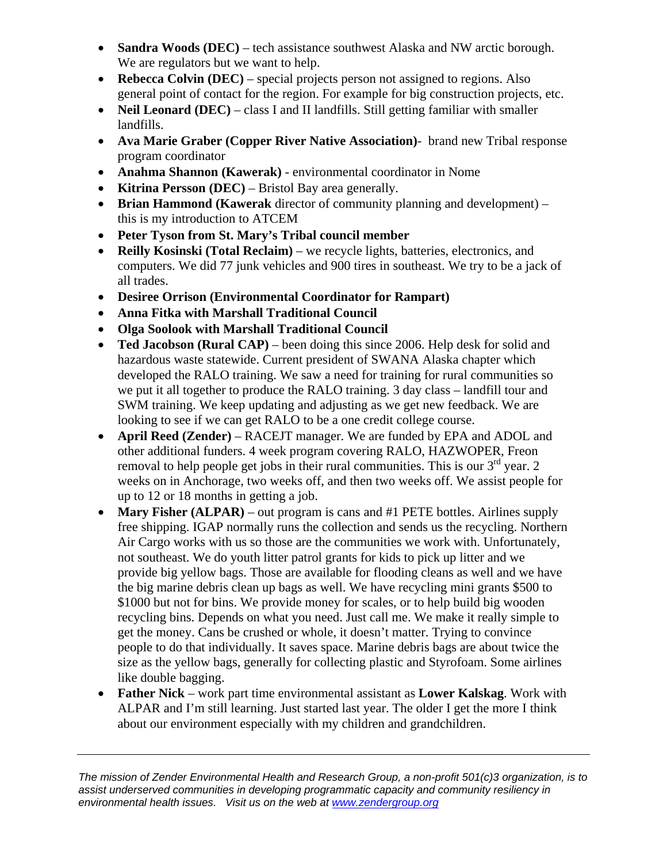- **Sandra Woods (DEC)** tech assistance southwest Alaska and NW arctic borough. We are regulators but we want to help.
- **Rebecca Colvin (DEC)** special projects person not assigned to regions. Also general point of contact for the region. For example for big construction projects, etc.
- **Neil Leonard (DEC)** class I and II landfills. Still getting familiar with smaller landfills.
- **Ava Marie Graber (Copper River Native Association)** brand new Tribal response program coordinator
- **Anahma Shannon (Kawerak)** environmental coordinator in Nome
- **Kitrina Persson (DEC)** Bristol Bay area generally.
- **Brian Hammond (Kawerak** director of community planning and development) this is my introduction to ATCEM
- **Peter Tyson from St. Mary's Tribal council member**
- **Reilly Kosinski (Total Reclaim)** we recycle lights, batteries, electronics, and computers. We did 77 junk vehicles and 900 tires in southeast. We try to be a jack of all trades.
- **Desiree Orrison (Environmental Coordinator for Rampart)**
- **Anna Fitka with Marshall Traditional Council**
- **Olga Soolook with Marshall Traditional Council**
- **Ted Jacobson (Rural CAP)** been doing this since 2006. Help desk for solid and hazardous waste statewide. Current president of SWANA Alaska chapter which developed the RALO training. We saw a need for training for rural communities so we put it all together to produce the RALO training. 3 day class – landfill tour and SWM training. We keep updating and adjusting as we get new feedback. We are looking to see if we can get RALO to be a one credit college course.
- **April Reed (Zender)** RACEJT manager. We are funded by EPA and ADOL and other additional funders. 4 week program covering RALO, HAZWOPER, Freon removal to help people get jobs in their rural communities. This is our  $3<sup>rd</sup>$  year. 2 weeks on in Anchorage, two weeks off, and then two weeks off. We assist people for up to 12 or 18 months in getting a job.
- Mary Fisher (ALPAR) out program is cans and #1 PETE bottles. Airlines supply free shipping. IGAP normally runs the collection and sends us the recycling. Northern Air Cargo works with us so those are the communities we work with. Unfortunately, not southeast. We do youth litter patrol grants for kids to pick up litter and we provide big yellow bags. Those are available for flooding cleans as well and we have the big marine debris clean up bags as well. We have recycling mini grants \$500 to \$1000 but not for bins. We provide money for scales, or to help build big wooden recycling bins. Depends on what you need. Just call me. We make it really simple to get the money. Cans be crushed or whole, it doesn't matter. Trying to convince people to do that individually. It saves space. Marine debris bags are about twice the size as the yellow bags, generally for collecting plastic and Styrofoam. Some airlines like double bagging.
- **Father Nick**  work part time environmental assistant as **Lower Kalskag**. Work with ALPAR and I'm still learning. Just started last year. The older I get the more I think about our environment especially with my children and grandchildren.